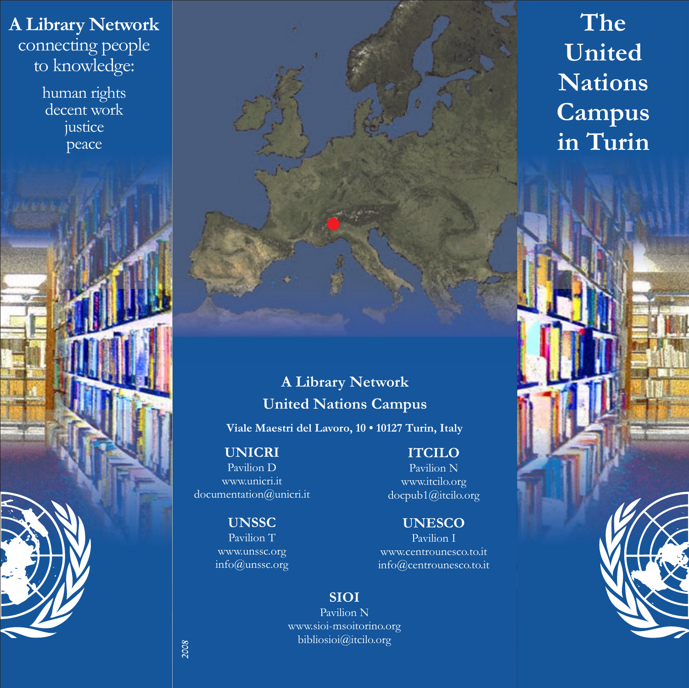# connecting people to knowledge: **A Library Network**

human rights decent work justice peace

# **United Nations Campus A Library Network**

**Viale Maestri del Lavoro, 10 • 10127 Turin, Italy**

# **UNICRI**

Pavilion D www.unicri.it documentation@unicri.it

# **UNSSC**

Pavilion T www.unssc.org info@unssc.org

## **ITCILO**

**The**

**United**

**Nations**

**Campus** 

**in Turin**

Pavilion N www.itcilo.org docpub1@itcilo.org

# **UNESCO**

Pavilion I www.centrounesco.to.it info@centrounesco.to.it

## **SIOI**

Pavilion N www.sioi-msoitorino.org bibliosioi@itcilo.org

*2008*